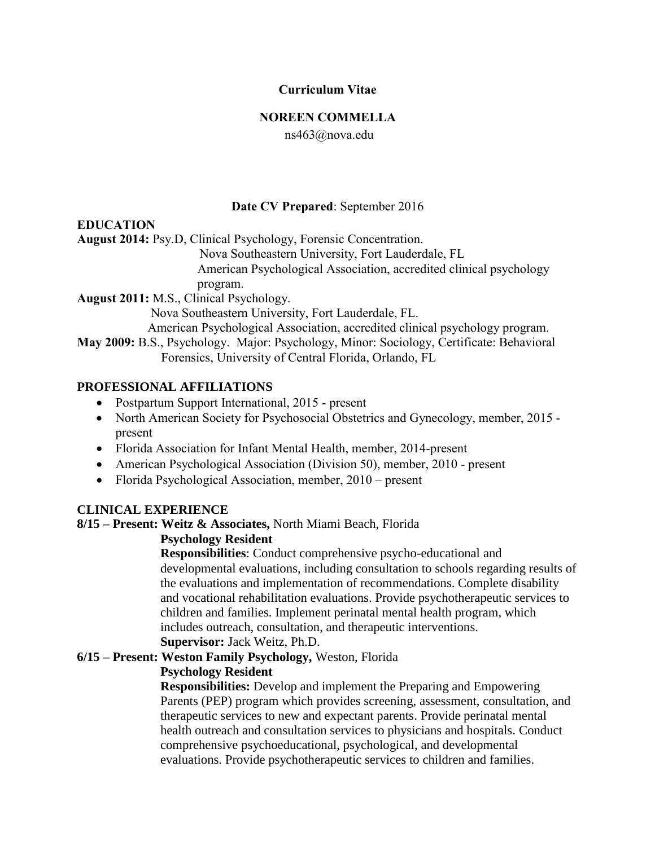# **Curriculum Vitae**

#### **NOREEN COMMELLA**

ns463@nova.edu

# **Date CV Prepared**: September 2016

# **EDUCATION**

**August 2014:** Psy.D, Clinical Psychology, Forensic Concentration.

Nova Southeastern University, Fort Lauderdale, FL

American Psychological Association, accredited clinical psychology

program.

**August 2011:** M.S., Clinical Psychology.

Nova Southeastern University, Fort Lauderdale, FL.

American Psychological Association, accredited clinical psychology program.

**May 2009:** B.S., Psychology. Major: Psychology, Minor: Sociology, Certificate: Behavioral Forensics, University of Central Florida, Orlando, FL

# **PROFESSIONAL AFFILIATIONS**

- Postpartum Support International, 2015 present
- North American Society for Psychosocial Obstetrics and Gynecology, member, 2015 present
- Florida Association for Infant Mental Health, member, 2014-present
- American Psychological Association (Division 50), member, 2010 present
- Florida Psychological Association, member, 2010 present

# **CLINICAL EXPERIENCE**

#### **8/15 – Present: Weitz & Associates,** North Miami Beach, Florida

#### **Psychology Resident**

 **Responsibilities**: Conduct comprehensive psycho-educational and developmental evaluations, including consultation to schools regarding results of the evaluations and implementation of recommendations. Complete disability and vocational rehabilitation evaluations. Provide psychotherapeutic services to children and families. Implement perinatal mental health program, which includes outreach, consultation, and therapeutic interventions.

# **Supervisor:** Jack Weitz, Ph.D.

# **6/15 – Present: Weston Family Psychology,** Weston, Florida

#### **Psychology Resident**

 **Responsibilities:** Develop and implement the Preparing and Empowering Parents (PEP) program which provides screening, assessment, consultation, and therapeutic services to new and expectant parents. Provide perinatal mental health outreach and consultation services to physicians and hospitals. Conduct comprehensive psychoeducational, psychological, and developmental evaluations. Provide psychotherapeutic services to children and families.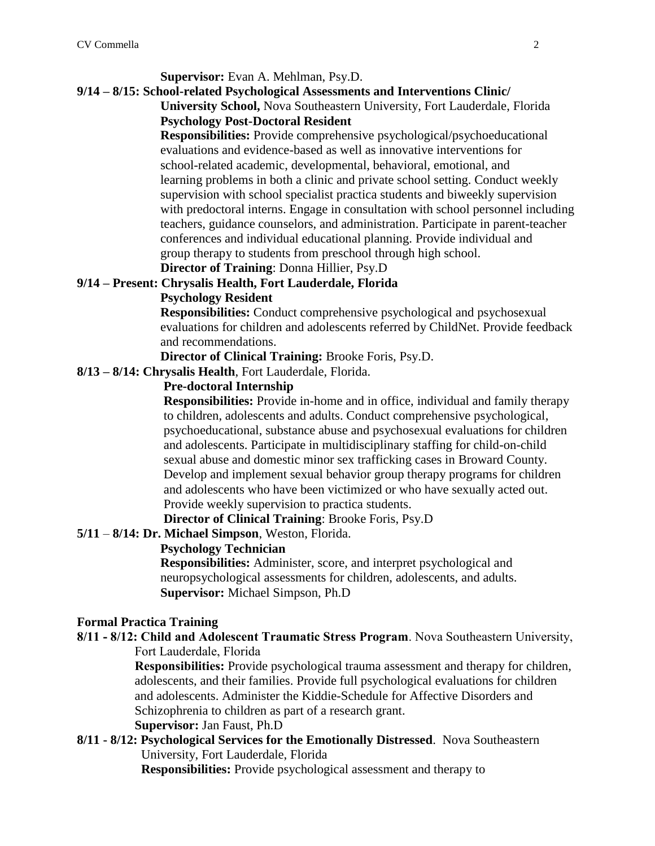# **Supervisor:** Evan A. Mehlman, Psy.D.

# **9/14 – 8/15: School-related Psychological Assessments and Interventions Clinic/**

 **University School,** Nova Southeastern University, Fort Lauderdale, Florida **Psychology Post-Doctoral Resident**

 **Responsibilities:** Provide comprehensive psychological/psychoeducational evaluations and evidence-based as well as innovative interventions for school-related academic, developmental, behavioral, emotional, and learning problems in both a clinic and private school setting. Conduct weekly supervision with school specialist practica students and biweekly supervision with predoctoral interns. Engage in consultation with school personnel including teachers, guidance counselors, and administration. Participate in parent-teacher conferences and individual educational planning. Provide individual and group therapy to students from preschool through high school.

# **Director of Training**: Donna Hillier, Psy.D

#### **9/14 – Present: Chrysalis Health, Fort Lauderdale, Florida**

#### **Psychology Resident**

 **Responsibilities:** Conduct comprehensive psychological and psychosexual evaluations for children and adolescents referred by ChildNet. Provide feedback and recommendations.

**Director of Clinical Training:** Brooke Foris, Psy.D.

**8/13 – 8/14: Chrysalis Health**, Fort Lauderdale, Florida.

#### **Pre-doctoral Internship**

 **Responsibilities:** Provide in-home and in office, individual and family therapy to children, adolescents and adults. Conduct comprehensive psychological, psychoeducational, substance abuse and psychosexual evaluations for children and adolescents. Participate in multidisciplinary staffing for child-on-child sexual abuse and domestic minor sex trafficking cases in Broward County. Develop and implement sexual behavior group therapy programs for children and adolescents who have been victimized or who have sexually acted out. Provide weekly supervision to practica students.

 **Director of Clinical Training**: Brooke Foris, Psy.D

# **5/11** – **8/14: Dr. Michael Simpson**, Weston, Florida.

# **Psychology Technician**

 **Responsibilities:** Administer, score, and interpret psychological and neuropsychological assessments for children, adolescents, and adults.  **Supervisor:** Michael Simpson, Ph.D

# **Formal Practica Training**

**8/11 - 8/12: Child and Adolescent Traumatic Stress Program**. Nova Southeastern University, Fort Lauderdale, Florida

**Responsibilities:** Provide psychological trauma assessment and therapy for children, adolescents, and their families. Provide full psychological evaluations for children and adolescents. Administer the Kiddie-Schedule for Affective Disorders and Schizophrenia to children as part of a research grant.

### **Supervisor:** Jan Faust, Ph.D

**8/11 - 8/12: Psychological Services for the Emotionally Distressed**. Nova Southeastern University, Fort Lauderdale, Florida

 **Responsibilities:** Provide psychological assessment and therapy to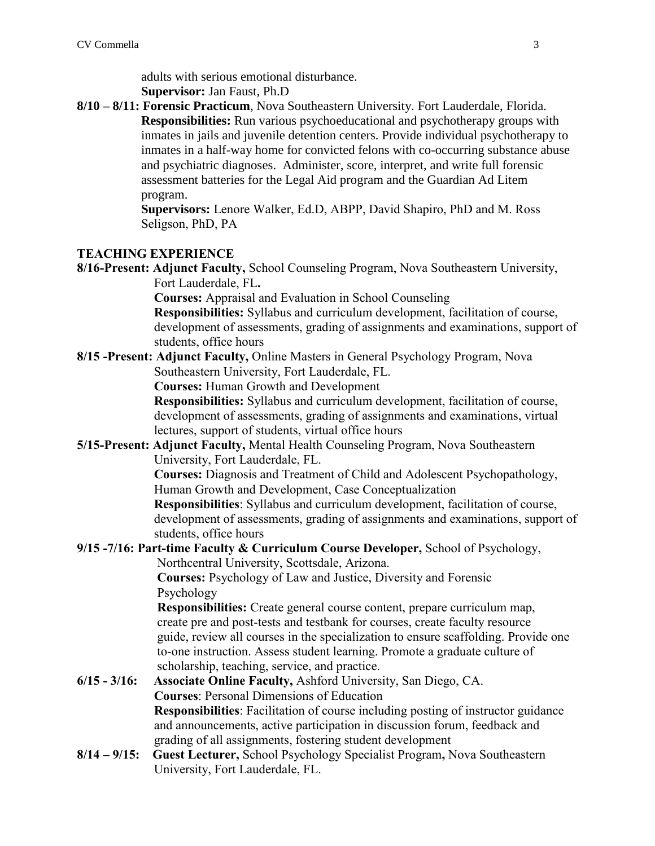adults with serious emotional disturbance.  **Supervisor:** Jan Faust, Ph.D

**8/10 – 8/11: Forensic Practicum**, Nova Southeastern University. Fort Lauderdale, Florida. **Responsibilities:** Run various psychoeducational and psychotherapy groups with inmates in jails and juvenile detention centers. Provide individual psychotherapy to inmates in a half-way home for convicted felons with co-occurring substance abuse and psychiatric diagnoses. Administer, score, interpret, and write full forensic assessment batteries for the Legal Aid program and the Guardian Ad Litem program.

**Supervisors:** Lenore Walker, Ed.D, ABPP, David Shapiro, PhD and M. Ross Seligson, PhD, PA

#### **TEACHING EXPERIENCE**

**8/16-Present: Adjunct Faculty,** School Counseling Program, Nova Southeastern University, Fort Lauderdale, FL**.**

 **Courses:** Appraisal and Evaluation in School Counseling

**Responsibilities:** Syllabus and curriculum development, facilitation of course, development of assessments, grading of assignments and examinations, support of students, office hours

**8/15 -Present: Adjunct Faculty,** Online Masters in General Psychology Program, Nova Southeastern University, Fort Lauderdale, FL.

**Courses:** Human Growth and Development

**Responsibilities:** Syllabus and curriculum development, facilitation of course, development of assessments, grading of assignments and examinations, virtual lectures, support of students, virtual office hours

**5/15-Present: Adjunct Faculty,** Mental Health Counseling Program, Nova Southeastern University, Fort Lauderdale, FL.

**Courses:** Diagnosis and Treatment of Child and Adolescent Psychopathology, Human Growth and Development, Case Conceptualization

**Responsibilities**: Syllabus and curriculum development, facilitation of course, development of assessments, grading of assignments and examinations, support of students, office hours

**9/15 -7/16: Part-time Faculty & Curriculum Course Developer,** School of Psychology, Northcentral University, Scottsdale, Arizona.

**Courses:** Psychology of Law and Justice, Diversity and Forensic Psychology

**Responsibilities:** Create general course content, prepare curriculum map, create pre and post-tests and testbank for courses, create faculty resource guide, review all courses in the specialization to ensure scaffolding. Provide one to-one instruction. Assess student learning. Promote a graduate culture of scholarship, teaching, service, and practice.

- **6/15 - 3/16: Associate Online Faculty,** Ashford University, San Diego, CA. **Courses**: Personal Dimensions of Education **Responsibilities**: Facilitation of course including posting of instructor guidance and announcements, active participation in discussion forum, feedback and grading of all assignments, fostering student development
- **8/14 – 9/15: Guest Lecturer,** School Psychology Specialist Program**,** Nova Southeastern University, Fort Lauderdale, FL.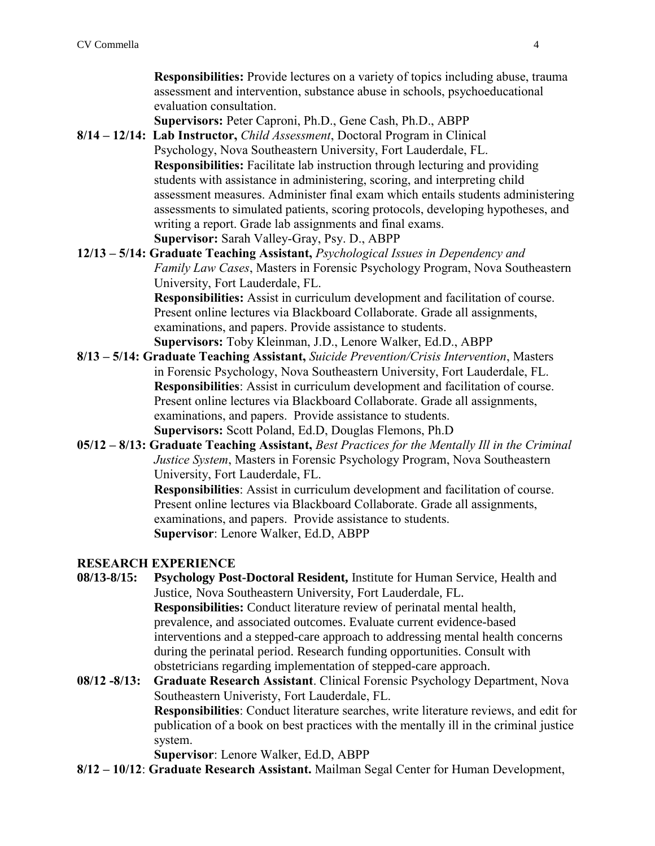**Responsibilities:** Provide lectures on a variety of topics including abuse, trauma assessment and intervention, substance abuse in schools, psychoeducational evaluation consultation.

**Supervisors:** Peter Caproni, Ph.D., Gene Cash, Ph.D., ABPP

- **8/14 – 12/14: Lab Instructor,** *Child Assessment*, Doctoral Program in Clinical Psychology, Nova Southeastern University, Fort Lauderdale, FL. **Responsibilities:** Facilitate lab instruction through lecturing and providing students with assistance in administering, scoring, and interpreting child assessment measures. Administer final exam which entails students administering assessments to simulated patients, scoring protocols, developing hypotheses, and writing a report. Grade lab assignments and final exams. **Supervisor:** Sarah Valley-Gray, Psy. D., ABPP
- **12/13 – 5/14: Graduate Teaching Assistant,** *Psychological Issues in Dependency and Family Law Cases*, Masters in Forensic Psychology Program, Nova Southeastern University, Fort Lauderdale, FL.

**Responsibilities:** Assist in curriculum development and facilitation of course. Present online lectures via Blackboard Collaborate. Grade all assignments, examinations, and papers. Provide assistance to students. **Supervisors:** Toby Kleinman, J.D., Lenore Walker, Ed.D., ABPP

- **8/13 – 5/14: Graduate Teaching Assistant,** *Suicide Prevention/Crisis Intervention*, Masters in Forensic Psychology, Nova Southeastern University, Fort Lauderdale, FL. **Responsibilities**: Assist in curriculum development and facilitation of course. Present online lectures via Blackboard Collaborate. Grade all assignments, examinations, and papers. Provide assistance to students. **Supervisors:** Scott Poland, Ed.D, Douglas Flemons, Ph.D
- **05/12 – 8/13: Graduate Teaching Assistant,** *Best Practices for the Mentally Ill in the Criminal Justice System*, Masters in Forensic Psychology Program, Nova Southeastern University, Fort Lauderdale, FL.

**Responsibilities**: Assist in curriculum development and facilitation of course. Present online lectures via Blackboard Collaborate. Grade all assignments, examinations, and papers. Provide assistance to students. **Supervisor**: Lenore Walker, Ed.D, ABPP

# **RESEARCH EXPERIENCE**

- **08/13-8/15: Psychology Post-Doctoral Resident,** Institute for Human Service, Health and Justice, Nova Southeastern University, Fort Lauderdale, FL. **Responsibilities:** Conduct literature review of perinatal mental health, prevalence, and associated outcomes. Evaluate current evidence-based interventions and a stepped-care approach to addressing mental health concerns during the perinatal period. Research funding opportunities. Consult with obstetricians regarding implementation of stepped-care approach.
- **08/12 -8/13: Graduate Research Assistant**. Clinical Forensic Psychology Department, Nova Southeastern Univeristy, Fort Lauderdale, FL. **Responsibilities**: Conduct literature searches, write literature reviews, and edit for publication of a book on best practices with the mentally ill in the criminal justice system.

**Supervisor**: Lenore Walker, Ed.D, ABPP

**8/12 – 10/12**: **Graduate Research Assistant.** Mailman Segal Center for Human Development,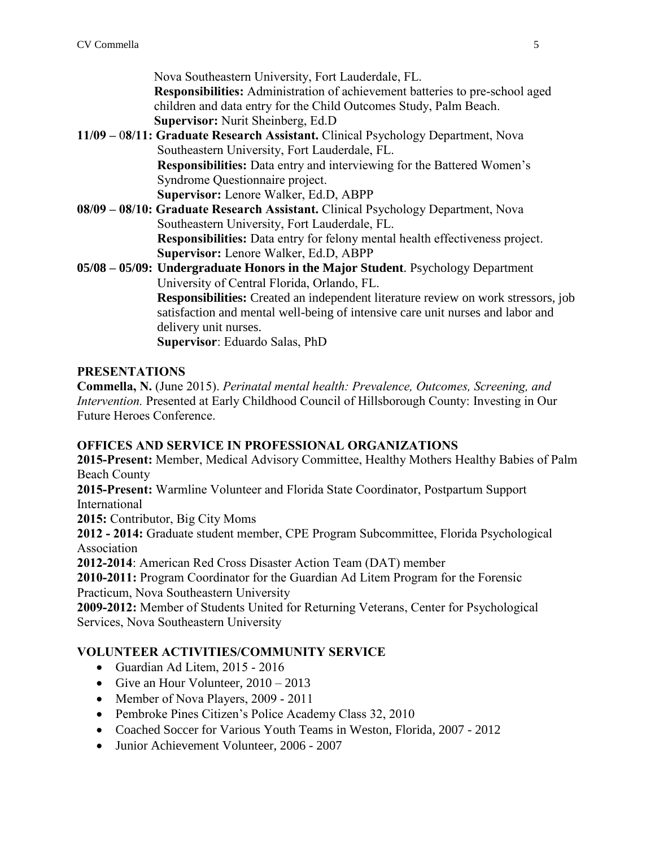Nova Southeastern University, Fort Lauderdale, FL.

**Responsibilities:** Administration of achievement batteries to pre-school aged children and data entry for the Child Outcomes Study, Palm Beach. **Supervisor:** Nurit Sheinberg, Ed.D

- **11/09 –** 0**8/11: Graduate Research Assistant.** Clinical Psychology Department, Nova Southeastern University, Fort Lauderdale, FL. **Responsibilities:** Data entry and interviewing for the Battered Women's Syndrome Questionnaire project. **Supervisor:** Lenore Walker, Ed.D, ABPP
- **08/09 – 08/10: Graduate Research Assistant.** Clinical Psychology Department, Nova Southeastern University, Fort Lauderdale, FL. **Responsibilities:** Data entry for felony mental health effectiveness project. **Supervisor:** Lenore Walker, Ed.D, ABPP

**05/08 – 05/09: Undergraduate Honors in the Major Student**. Psychology Department University of Central Florida, Orlando, FL. **Responsibilities:** Created an independent literature review on work stressors, job satisfaction and mental well-being of intensive care unit nurses and labor and delivery unit nurses. **Supervisor**: Eduardo Salas, PhD

# **PRESENTATIONS**

**Commella, N.** (June 2015). *Perinatal mental health: Prevalence, Outcomes, Screening, and Intervention.* Presented at Early Childhood Council of Hillsborough County: Investing in Our Future Heroes Conference.

# **OFFICES AND SERVICE IN PROFESSIONAL ORGANIZATIONS**

**2015-Present:** Member, Medical Advisory Committee, Healthy Mothers Healthy Babies of Palm Beach County

**2015-Present:** Warmline Volunteer and Florida State Coordinator, Postpartum Support International

**2015:** Contributor, Big City Moms

**2012 - 2014:** Graduate student member, CPE Program Subcommittee, Florida Psychological Association

**2012-2014**: American Red Cross Disaster Action Team (DAT) member

**2010-2011:** Program Coordinator for the Guardian Ad Litem Program for the Forensic Practicum, Nova Southeastern University

**2009-2012:** Member of Students United for Returning Veterans, Center for Psychological Services, Nova Southeastern University

# **VOLUNTEER ACTIVITIES/COMMUNITY SERVICE**

- Guardian Ad Litem, 2015 2016
- Give an Hour Volunteer,  $2010 2013$
- Member of Nova Players, 2009 2011
- Pembroke Pines Citizen's Police Academy Class 32, 2010
- Coached Soccer for Various Youth Teams in Weston, Florida, 2007 2012
- Junior Achievement Volunteer, 2006 2007